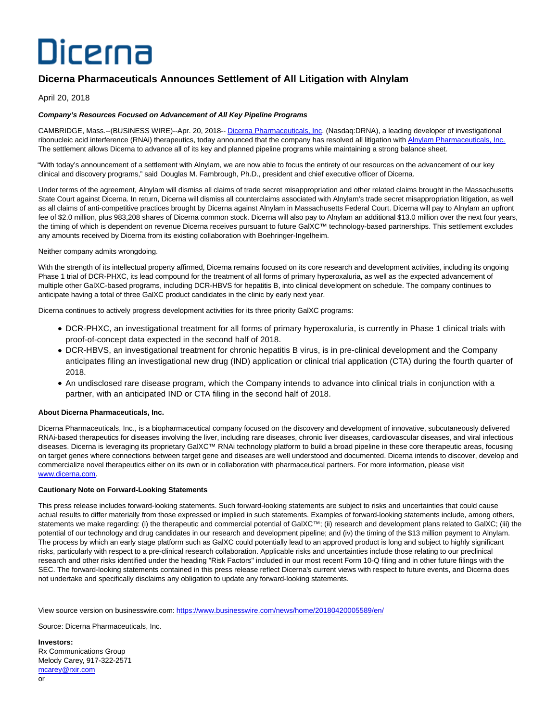# Dicerna

## **Dicerna Pharmaceuticals Announces Settlement of All Litigation with Alnylam**

### April 20, 2018

#### **Company's Resources Focused on Advancement of All Key Pipeline Programs**

CAMBRIDGE, Mass.--(BUSINESS WIRE)--Apr. 20, 2018-- [Dicerna Pharmaceuticals, Inc.](http://cts.businesswire.com/ct/CT?id=smartlink&url=http%3A%2F%2Fwww.dicerna.com&esheet=51792586&newsitemid=20180420005589&lan=en-US&anchor=Dicerna+Pharmaceuticals%2C+Inc&index=1&md5=fed80ccc362bd6196fd42d6baef7807a) (Nasdaq:DRNA), a leading developer of investigational ribonucleic acid interference (RNAi) therapeutics, today announced that the company has resolved all litigation with [Alnylam Pharmaceuticals, Inc.](http://cts.businesswire.com/ct/CT?id=smartlink&url=http%3A%2F%2Fwww.alnylam.com%2F&esheet=51792586&newsitemid=20180420005589&lan=en-US&anchor=Alnylam+Pharmaceuticals%2C+Inc.&index=2&md5=bcdc4664d73c04add2362d6cd6f4ff39) The settlement allows Dicerna to advance all of its key and planned pipeline programs while maintaining a strong balance sheet.

"With today's announcement of a settlement with Alnylam, we are now able to focus the entirety of our resources on the advancement of our key clinical and discovery programs," said Douglas M. Fambrough, Ph.D., president and chief executive officer of Dicerna.

Under terms of the agreement, Alnylam will dismiss all claims of trade secret misappropriation and other related claims brought in the Massachusetts State Court against Dicerna. In return, Dicerna will dismiss all counterclaims associated with Alnylam's trade secret misappropriation litigation, as well as all claims of anti-competitive practices brought by Dicerna against Alnylam in Massachusetts Federal Court. Dicerna will pay to Alnylam an upfront fee of \$2.0 million, plus 983,208 shares of Dicerna common stock. Dicerna will also pay to Alnylam an additional \$13.0 million over the next four years, the timing of which is dependent on revenue Dicerna receives pursuant to future GalXC™ technology-based partnerships. This settlement excludes any amounts received by Dicerna from its existing collaboration with Boehringer-Ingelheim.

Neither company admits wrongdoing.

With the strength of its intellectual property affirmed, Dicerna remains focused on its core research and development activities, including its ongoing Phase 1 trial of DCR-PHXC, its lead compound for the treatment of all forms of primary hyperoxaluria, as well as the expected advancement of multiple other GalXC-based programs, including DCR-HBVS for hepatitis B, into clinical development on schedule. The company continues to anticipate having a total of three GalXC product candidates in the clinic by early next year.

Dicerna continues to actively progress development activities for its three priority GalXC programs:

- DCR-PHXC, an investigational treatment for all forms of primary hyperoxaluria, is currently in Phase 1 clinical trials with proof-of-concept data expected in the second half of 2018.
- DCR-HBVS, an investigational treatment for chronic hepatitis B virus, is in pre-clinical development and the Company anticipates filing an investigational new drug (IND) application or clinical trial application (CTA) during the fourth quarter of 2018.
- An undisclosed rare disease program, which the Company intends to advance into clinical trials in conjunction with a partner, with an anticipated IND or CTA filing in the second half of 2018.

#### **About Dicerna Pharmaceuticals, Inc.**

Dicerna Pharmaceuticals, Inc., is a biopharmaceutical company focused on the discovery and development of innovative, subcutaneously delivered RNAi-based therapeutics for diseases involving the liver, including rare diseases, chronic liver diseases, cardiovascular diseases, and viral infectious diseases. Dicerna is leveraging its proprietary GalXC™ RNAi technology platform to build a broad pipeline in these core therapeutic areas, focusing on target genes where connections between target gene and diseases are well understood and documented. Dicerna intends to discover, develop and commercialize novel therapeutics either on its own or in collaboration with pharmaceutical partners. For more information, please visit [www.dicerna.com.](http://cts.businesswire.com/ct/CT?id=smartlink&url=http%3A%2F%2Fwww.dicerna.com&esheet=51792586&newsitemid=20180420005589&lan=en-US&anchor=www.dicerna.com&index=3&md5=fc75b66500504e92a3b6e4bea2c0a376)

#### **Cautionary Note on Forward-Looking Statements**

This press release includes forward-looking statements. Such forward-looking statements are subject to risks and uncertainties that could cause actual results to differ materially from those expressed or implied in such statements. Examples of forward-looking statements include, among others, statements we make regarding: (i) the therapeutic and commercial potential of GalXC™; (ii) research and development plans related to GalXC; (iii) the potential of our technology and drug candidates in our research and development pipeline; and (iv) the timing of the \$13 million payment to Alnylam. The process by which an early stage platform such as GalXC could potentially lead to an approved product is long and subject to highly significant risks, particularly with respect to a pre-clinical research collaboration. Applicable risks and uncertainties include those relating to our preclinical research and other risks identified under the heading "Risk Factors" included in our most recent Form 10-Q filing and in other future filings with the SEC. The forward-looking statements contained in this press release reflect Dicerna's current views with respect to future events, and Dicerna does not undertake and specifically disclaims any obligation to update any forward-looking statements.

View source version on businesswire.com:<https://www.businesswire.com/news/home/20180420005589/en/>

Source: Dicerna Pharmaceuticals, Inc.

**Investors:** Rx Communications Group Melody Carey, 917-322-2571 [mcarey@rxir.com](mailto:mcarey@rxir.com) or